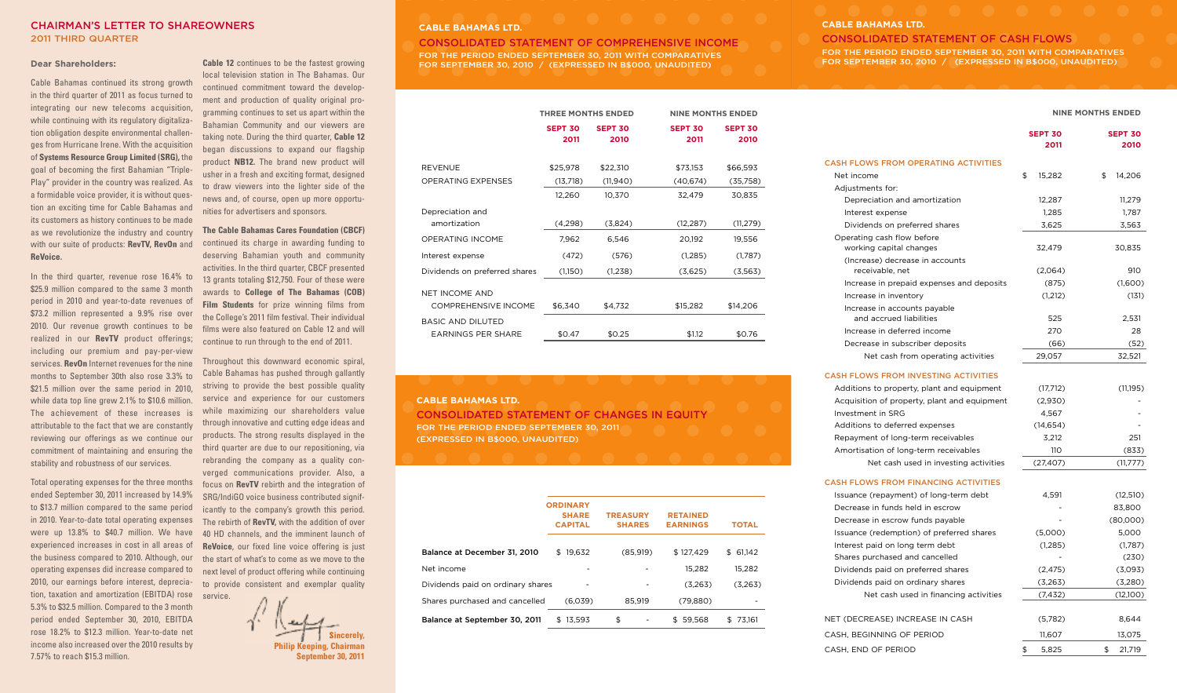### CHAIRMAN'S LETTER TO SHAREOWNERS 2011 THIRD QUARTER

#### **Dear Shareholders:**

Cable Bahamas continued its strong growth in the third quarter of 2011 as focus turned to integrating our new telecoms acquisition, while continuing with its regulatory digitalization obligation despite environmental challenges from Hurricane Irene. With the acquisition of **Systems Resource Group Limited (SRG),** the goal of becoming the first Bahamian "Triple-Play" provider in the country was realized. As a formidable voice provider, it is without question an exciting time for Cable Bahamas and its customers as history continues to be made as we revolutionize the industry and country with our suite of products: **RevTV, RevOn** and **ReVoice.**

In the third quarter, revenue rose 16.4% to \$25.9 million compared to the same 3 month period in 2010 and year-to-date revenues of \$73.2 million represented a 9.9% rise over 2010. Our revenue growth continues to be realized in our **RevTV** product offerings; including our premium and pay-per-view services. **RevOn** Internet revenues for the nine months to September 30th also rose 3.3% to \$21.5 million over the same period in 2010. while data top line grew 2.1% to \$10.6 million. The achievement of these increases is attributable to the fact that we are constantly reviewing our offerings as we continue our commitment of maintaining and ensuring the stability and robustness of our services.

Total operating expenses for the three months ended September 30, 2011 increased by 14.9% to \$13.7 million compared to the same period in 2010. Year-to-date total operating expenses were up 13.8% to \$40.7 million. We have experienced increases in cost in all areas of the business compared to 2010. Although, our operating expenses did increase compared to 2010, our earnings before interest, depreciation, taxation and amortization (EBITDA) rose service. 5.3% to \$32.5 million. Compared to the 3 month period ended September 30, 2010, EBITDA rose 18.2% to \$12.3 million. Year-to-date net income also increased over the 2010 results by 7.57% to reach \$15.3 million.

**Cable 12** continues to be the fastest growing local television station in The Bahamas. Our continued commitment toward the development and production of quality original programming continues to set us apart within the Bahamian Community and our viewers are taking note. During the third quarter, **Cable 12** began discussions to expand our flagship product **NB12.** The brand new product will usher in a fresh and exciting format, designed to draw viewers into the lighter side of the news and, of course, open up more opportunities for advertisers and sponsors.

**The Cable Bahamas Cares Foundation (CBCF)** continued its charge in awarding funding to deserving Bahamian youth and community activities. In the third quarter, CBCF presented 13 grants totaling \$12,750. Four of these were awards to **College of The Bahamas (COB) Film Students** for prize winning films from the College's 2011 film festival. Their individual films were also featured on Cable 12 and will continue to run through to the end of 2011.

Throughout this downward economic spiral, Cable Bahamas has pushed through gallantly striving to provide the best possible quality service and experience for our customers while maximizing our shareholders value through innovative and cutting edge ideas and products. The strong results displayed in the third quarter are due to our repositioning, via rebranding the company as a quality converged communications provider. Also, a focus on **RevTV** rebirth and the integration of SRG/IndiGO voice business contributed significantly to the company's growth this period. The rebirth of **RevTV,** with the addition of over 40 HD channels, and the imminent launch of **ReVoice**, our fixed line voice offering is just the start of what's to come as we move to the next level of product offering while continuing to provide consistent and exemplar quality

**Sincerely, Philip Keeping, Chairman September 30, 2011**

# **CABLE BAHAMAS LTD.**

CONSOLIDATED STATEMENT OF COMPREHENSIVE INCOME FOR THE PERIOD ENDED SEPTEMBER 30, 2011 WITH COMPARATIVES FOR SEPTEMBER 30, 2010 / (EXPRESSED IN B\$000, UNAUDITED)

|                                                |                        | <b>THREE MONTHS ENDED</b> |                        | <b>NINE MONTHS ENDED</b> |  |
|------------------------------------------------|------------------------|---------------------------|------------------------|--------------------------|--|
|                                                | <b>SEPT 30</b><br>2011 | <b>SEPT 30</b><br>2010    | <b>SEPT 30</b><br>2011 | <b>SEPT 30</b><br>2010   |  |
| REVENUE                                        | \$25,978               | \$22,310                  | \$73,153               | \$66,593                 |  |
| OPERATING EXPENSES                             | (13,718)               | (11,940)                  | (40, 674)              | (35,758)                 |  |
|                                                | 12,260                 | 10,370                    | 32,479                 | 30,835                   |  |
| Depreciation and<br>amortization               | (4,298)                | (3,824)                   | (12, 287)              | (11, 279)                |  |
| OPERATING INCOME                               | 7,962                  | 6,546                     | 20,192                 | 19,556                   |  |
| Interest expense                               | (472)                  | (576)                     | (1,285)                | (1,787)                  |  |
| Dividends on preferred shares                  | (1,150)                | (1,238)                   | (3,625)                | (3,563)                  |  |
| NET INCOME AND                                 |                        |                           |                        |                          |  |
| <b>COMPREHENSIVE INCOME</b>                    | \$6,340                | \$4,732                   | \$15,282               | \$14,206                 |  |
| BASIC AND DILUTED<br><b>EARNINGS PER SHARE</b> | \$0.47                 | \$0.25                    | \$1.12                 | \$0.76                   |  |
|                                                |                        |                           |                        |                          |  |

### **CABLE BAHAMAS LTD.**

CONSOLIDATED STATEMENT OF CHANGES IN EQUITY FOR THE PERIOD ENDED SEPTEMBER 30, 2011 (EXPRESSED IN B\$000, UNAUDITED)

|                                   | <b>ORDINARY</b><br><b>SHARE</b><br><b>CAPITAL</b> | <b>TREASURY</b><br><b>SHARES</b> | <b>RETAINED</b><br><b>EARNINGS</b> | <b>TOTAL</b> |
|-----------------------------------|---------------------------------------------------|----------------------------------|------------------------------------|--------------|
| Balance at December 31, 2010      | 19.632<br>\$                                      | (85,919)                         | \$127.429                          | 61,142<br>\$ |
| Net income                        |                                                   |                                  | 15.282                             | 15.282       |
| Dividends paid on ordinary shares |                                                   |                                  | (3.263)                            | (3,263)      |
| Shares purchased and cancelled    | (6.039)                                           | 85.919                           | (79, 880)                          |              |
| Balance at September 30, 2011     | \$13,593                                          | \$                               | 59.568<br>S.                       | 73.161       |

#### **CABLE BAHAMAS LTD.**

CONSOLIDATED STATEMENT OF CASH FLOWS FOR THE PERIOD ENDED SEPTEMBER 30, 2011 WITH COMPARATIVES FOR SEPTEMBER 30, 2010 / (EXPRESSED IN B\$000, UNAUDITED)

#### **NINE MONTHS ENDED**

|                                              | <b>SEPT 30</b><br>2011 | <b>SEPT 30</b><br>2010 |
|----------------------------------------------|------------------------|------------------------|
| <b>CASH FLOWS FROM OPERATING ACTIVITIES</b>  |                        |                        |
| Net income                                   | \$<br>15,282           | \$<br>14,206           |
| Adjustments for:                             |                        |                        |
| Depreciation and amortization                | 12,287                 | 11,279                 |
| Interest expense                             | 1,285                  | 1,787                  |
| Dividends on preferred shares                | 3,625                  | 3,563                  |
| Operating cash flow before                   |                        |                        |
| working capital changes                      | 32,479                 | 30,835                 |
| (Increase) decrease in accounts              |                        |                        |
| receivable, net                              | (2,064)                | 910                    |
| Increase in prepaid expenses and deposits    | (875)                  | (1,600)                |
| Increase in inventory                        | (1,212)                | (131)                  |
| Increase in accounts payable                 |                        |                        |
| and accrued liabilities                      | 525                    | 2,531                  |
| Increase in deferred income                  | 270                    | 28                     |
| Decrease in subscriber deposits              | (66)                   | (52)                   |
| Net cash from operating activities           | 29,057                 | 32,521                 |
| <b>CASH FLOWS FROM INVESTING ACTIVITIES</b>  |                        |                        |
| Additions to property, plant and equipment   | (17,712)               | (11,195)               |
| Acquisition of property, plant and equipment | (2,930)                |                        |
| Investment in SRG                            | 4,567                  |                        |
| Additions to deferred expenses               | (14, 654)              |                        |
| Repayment of long-term receivables           | 3.212                  | 251                    |
| Amortisation of long-term receivables        | 110                    | (833)                  |
| Net cash used in investing activities        | (27, 407)              | (11, 777)              |
| <b>CASH FLOWS FROM FINANCING ACTIVITIES</b>  |                        |                        |
| Issuance (repayment) of long-term debt       | 4,591                  | (12, 510)              |
| Decrease in funds held in escrow             |                        | 83,800                 |
| Decrease in escrow funds payable             |                        | (80,000)               |
| Issuance (redemption) of preferred shares    | (5,000)                | 5,000                  |
| Interest paid on long term debt              | (1,285)                | (1,787)                |
| Shares purchased and cancelled               |                        | (230)                  |
| Dividends paid on preferred shares           | (2, 475)               | (3,093)                |
| Dividends paid on ordinary shares            | (3,263)                | (3,280)                |
| Net cash used in financing activities        | (7, 432)               | (12,100)               |
| NET (DECREASE) INCREASE IN CASH              | (5,782)                | 8,644                  |
| CASH, BEGINNING OF PERIOD                    | 11,607                 | 13,075                 |
| CASH, END OF PERIOD                          | \$<br>5,825            | \$<br>21,719           |